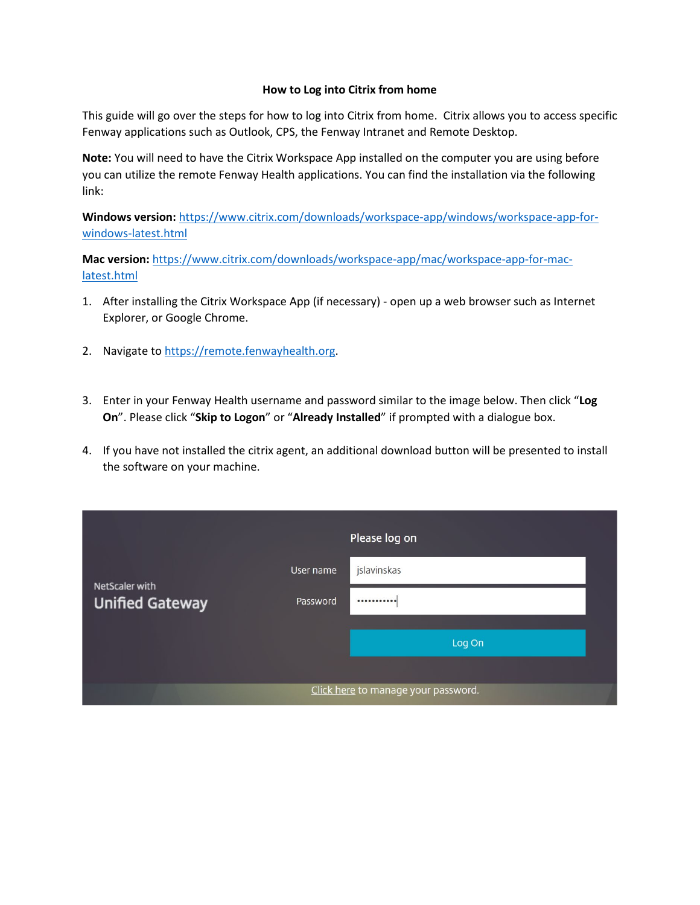## **How to Log into Citrix from home**

This guide will go over the steps for how to log into Citrix from home. Citrix allows you to access specific Fenway applications such as Outlook, CPS, the Fenway Intranet and Remote Desktop.

**Note:** You will need to have the Citrix Workspace App installed on the computer you are using before you can utilize the remote Fenway Health applications. You can find the installation via the following link:

**Windows version:** [https://www.citrix.com/downloads/workspace-app/windows/workspace-app-for](https://www.citrix.com/downloads/workspace-app/windows/workspace-app-for-windows-latest.html)[windows-latest.html](https://www.citrix.com/downloads/workspace-app/windows/workspace-app-for-windows-latest.html)

**Mac version:** [https://www.citrix.com/downloads/workspace-app/mac/workspace-app-for-mac](https://www.citrix.com/downloads/workspace-app/mac/workspace-app-for-mac-latest.html)[latest.html](https://www.citrix.com/downloads/workspace-app/mac/workspace-app-for-mac-latest.html)

- 1. After installing the Citrix Workspace App (if necessary) open up a web browser such as Internet Explorer, or Google Chrome.
- 2. Navigate to [https://remote.fenwayhealth.org.](https://remote.fenwayhealth.org/)
- 3. Enter in your Fenway Health username and password similar to the image below. Then click "**Log On**". Please click "**Skip to Logon**" or "**Already Installed**" if prompted with a dialogue box.
- 4. If you have not installed the citrix agent, an additional download button will be presented to install the software on your machine.

|                                          | Please log on |                           |  |  |  |
|------------------------------------------|---------------|---------------------------|--|--|--|
| NetScaler with<br><b>Unified Gateway</b> | User name     | jslavinskas               |  |  |  |
|                                          | Password      | $0 0 0 0 0 0 0 0 0 0 0 0$ |  |  |  |
|                                          |               | Log On                    |  |  |  |
| Click here to manage your password.      |               |                           |  |  |  |